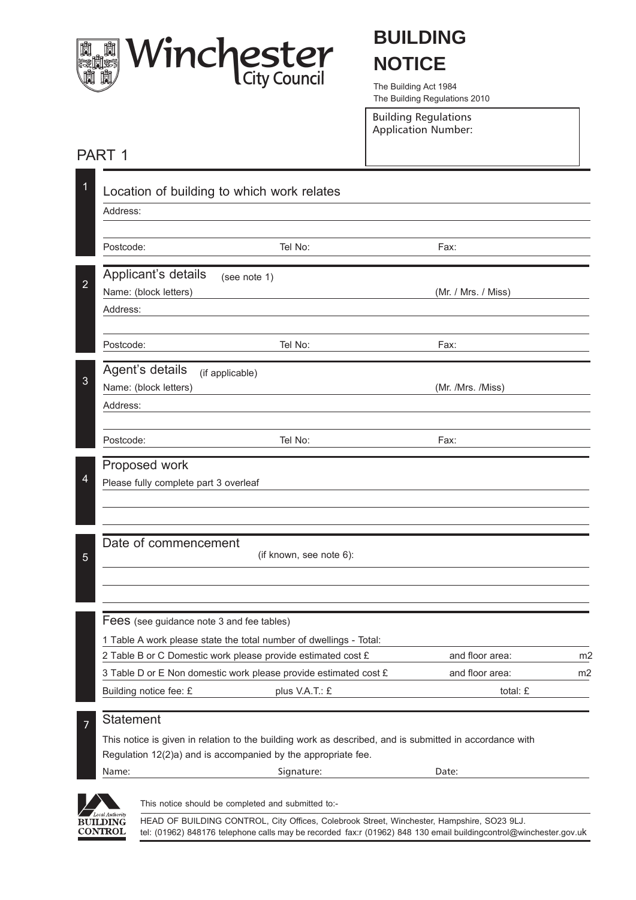

# **BUILDING NOTICE**

The Building Act 1984 The Building Regulations 2010

Building Regulations Application Number:

### PART 1

|                                           | Location of building to which work relates                                                              |                     |    |
|-------------------------------------------|---------------------------------------------------------------------------------------------------------|---------------------|----|
| Address:                                  |                                                                                                         |                     |    |
| Postcode:                                 | Tel No:                                                                                                 | Fax:                |    |
| Applicant's details                       | (see note 1)                                                                                            |                     |    |
| Name: (block letters)                     |                                                                                                         | (Mr. / Mrs. / Miss) |    |
| Address:                                  |                                                                                                         |                     |    |
| Postcode:                                 | Tel No:                                                                                                 | Fax:                |    |
| Agent's details                           | (if applicable)                                                                                         |                     |    |
| Name: (block letters)                     |                                                                                                         | (Mr. /Mrs. /Miss)   |    |
| Address:                                  |                                                                                                         |                     |    |
| Postcode:                                 | Tel No:                                                                                                 | Fax:                |    |
| Proposed work                             |                                                                                                         |                     |    |
| Please fully complete part 3 overleaf     |                                                                                                         |                     |    |
|                                           |                                                                                                         |                     |    |
| Date of commencement                      | (if known, see note 6):                                                                                 |                     |    |
|                                           |                                                                                                         |                     |    |
| Fees (see guidance note 3 and fee tables) |                                                                                                         |                     |    |
|                                           | 1 Table A work please state the total number of dwellings - Total:                                      |                     |    |
|                                           | 2 Table B or C Domestic work please provide estimated cost £                                            | and floor area:     | m2 |
|                                           | 3 Table D or E Non domestic work please provide estimated cost £                                        | and floor area:     | m2 |
| Building notice fee: £                    | plus V.A.T.: £                                                                                          | total: £            |    |
| Statement                                 |                                                                                                         |                     |    |
|                                           | This notice is given in relation to the building work as described, and is submitted in accordance with |                     |    |
|                                           | Regulation 12(2)a) and is accompanied by the appropriate fee.                                           |                     |    |
| Name:                                     | Signature:                                                                                              | Date:               |    |



HEAD OF BUILDING CONTROL, City Offices, Colebrook Street, Winchester, Hampshire, SO23 9LJ. tel: (01962) 848176 telephone calls may be recorded fax:r (01962) 848 130 email buildingcontrol@winchester.gov.uk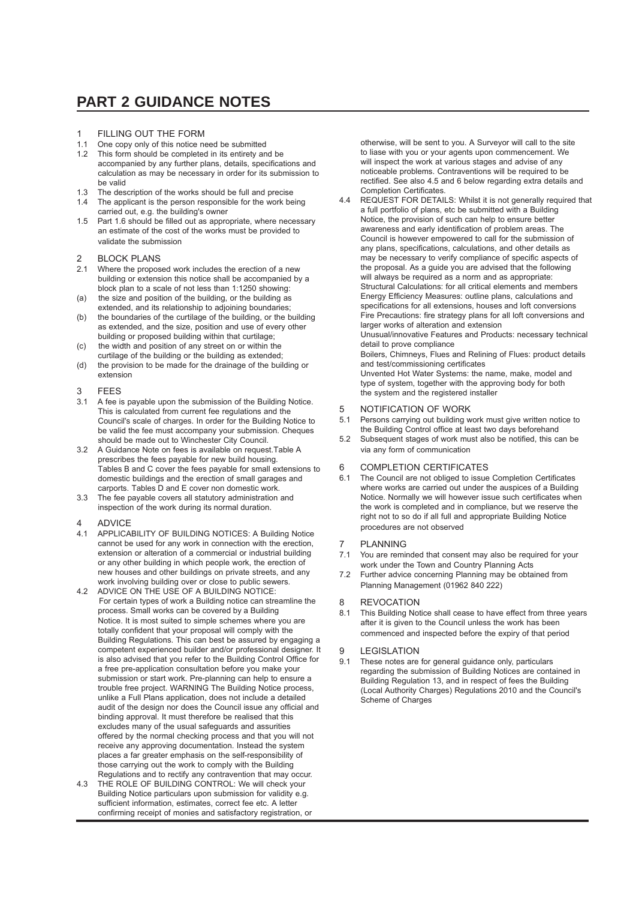### **PART 2 GUIDANCE NOTES**

- 1 FILLING OUT THE FORM
- 1.1 One copy only of this notice need be submitted
- 1.2 This form should be completed in its entirety and be accompanied by any further plans, details, specifications and calculation as may be necessary in order for its submission to be valid
- 1.3 The description of the works should be full and precise
- 1.4 The applicant is the person responsible for the work being carried out, e.g. the building's owner
- 1.5 Part 1.6 should be filled out as appropriate, where necessary an estimate of the cost of the works must be provided to validate the submission
- 2 BLOCK PLANS<br>2.1 Where the propos
- Where the proposed work includes the erection of a new building or extension this notice shall be accompanied by a block plan to a scale of not less than 1:1250 showing:
- (a) the size and position of the building, or the building as extended, and its relationship to adjoining boundaries;
- (b) the boundaries of the curtilage of the building, or the building as extended, and the size, position and use of every other building or proposed building within that curtilage;
- (c) the width and position of any street on or within the curtilage of the building or the building as extended;
- (d) the provision to be made for the drainage of the building or extension
- 3 FEES
- 3.1 A fee is payable upon the submission of the Building Notice. This is calculated from current fee regulations and the Council's scale of charges. In order for the Building Notice to be valid the fee must accompany your submission. Cheques should be made out to Winchester City Council.
- 3.2 A Guidance Note on fees is available on request.Table A prescribes the fees payable for new build housing. Tables B and C cover the fees payable for small extensions to domestic buildings and the erection of small garages and carports. Tables D and E cover non domestic work.
- 3.3 The fee payable covers all statutory administration and inspection of the work during its normal duration.
- 4 ADVICE
- 4.1 APPLICABILITY OF BUILDING NOTICES: A Building Notice cannot be used for any work in connection with the erection, extension or alteration of a commercial or industrial building or any other building in which people work, the erection of new houses and other buildings on private streets, and any work involving building over or close to public sewers.
- 4.2 ADVICE ON THE USE OF A BUILDING NOTICE: For certain types of work a Building notice can streamline the process. Small works can be covered by a Building Notice. It is most suited to simple schemes where you are totally confident that your proposal will comply with the Building Regulations. This can best be assured by engaging a competent experienced builder and/or professional designer. It is also advised that you refer to the Building Control Office for a free pre-application consultation before you make your submission or start work. Pre-planning can help to ensure a trouble free project. WARNING The Building Notice process, unlike a Full Plans application, does not include a detailed audit of the design nor does the Council issue any official and binding approval. It must therefore be realised that this excludes many of the usual safeguards and assurities offered by the normal checking process and that you will not receive any approving documentation. Instead the system places a far greater emphasis on the self-responsibility of those carrying out the work to comply with the Building Regulations and to rectify any contravention that may occur.
- 4.3 THE ROLE OF BUILDING CONTROL: We will check your Building Notice particulars upon submission for validity e.g. sufficient information, estimates, correct fee etc. A letter confirming receipt of monies and satisfactory registration, or

otherwise, will be sent to you. A Surveyor will call to the site to liase with you or your agents upon commencement. We will inspect the work at various stages and advise of any noticeable problems. Contraventions will be required to be rectified. See also 4.5 and 6 below regarding extra details and Completion Certificates.

4.4 REQUEST FOR DETAILS: Whilst it is not generally required that a full portfolio of plans, etc be submitted with a Building Notice, the provision of such can help to ensure better awareness and early identification of problem areas. The Council is however empowered to call for the submission of any plans, specifications, calculations, and other details as may be necessary to verify compliance of specific aspects of the proposal. As a guide you are advised that the following will always be required as a norm and as appropriate: Structural Calculations: for all critical elements and members Energy Efficiency Measures: outline plans, calculations and specifications for all extensions, houses and loft conversions Fire Precautions: fire strategy plans for all loft conversions and larger works of alteration and extension Unusual/innovative Features and Products: necessary technical detail to prove compliance

Boilers, Chimneys, Flues and Relining of Flues: product details and test/commissioning certificates

Unvented Hot Water Systems: the name, make, model and type of system, together with the approving body for both the system and the registered installer

# 5 NOTIFICATION OF WORK<br>5.1 Persons carrying out building w

- Persons carrying out building work must give written notice to the Building Control office at least two days beforehand
- 5.2 Subsequent stages of work must also be notified, this can be via any form of communication
- 6 COMPLETION CERTIFICATES
- 6.1 The Council are not obliged to issue Completion Certificates where works are carried out under the auspices of a Building Notice. Normally we will however issue such certificates when the work is completed and in compliance, but we reserve the right not to so do if all full and appropriate Building Notice procedures are not observed

# 7 PLANNING<br>7.1 You are remi

- You are reminded that consent may also be required for your work under the Town and Country Planning Acts
- 7.2 Further advice concerning Planning may be obtained from Planning Management (01962 840 222)

#### 8 REVOCATION

8.1 This Building Notice shall cease to have effect from three years after it is given to the Council unless the work has been commenced and inspected before the expiry of that period

#### 9 LEGISLATION

9.1 These notes are for general guidance only, particulars regarding the submission of Building Notices are contained in Building Regulation 13, and in respect of fees the Building (Local Authority Charges) Regulations 2010 and the Council's Scheme of Charges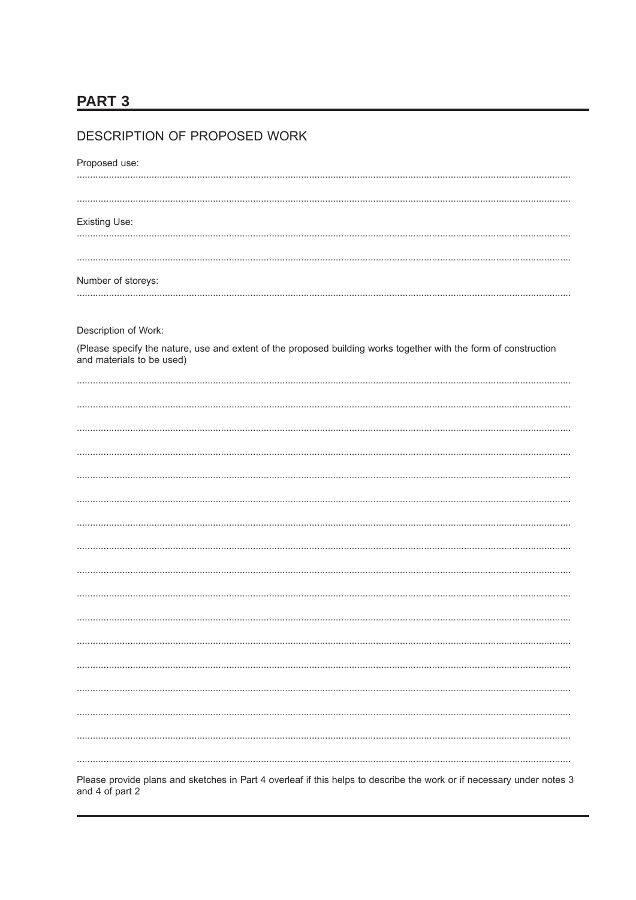# **PART 3**

| Proposed use:                                                                                                                                 |
|-----------------------------------------------------------------------------------------------------------------------------------------------|
|                                                                                                                                               |
|                                                                                                                                               |
| <b>Existing Use:</b>                                                                                                                          |
|                                                                                                                                               |
|                                                                                                                                               |
| Number of storeys:                                                                                                                            |
|                                                                                                                                               |
|                                                                                                                                               |
| Description of Work:                                                                                                                          |
| (Please specify the nature, use and extent of the proposed building works together with the form of construction<br>and materials to be used) |
|                                                                                                                                               |
|                                                                                                                                               |
|                                                                                                                                               |
|                                                                                                                                               |
|                                                                                                                                               |
|                                                                                                                                               |
|                                                                                                                                               |
|                                                                                                                                               |
|                                                                                                                                               |
|                                                                                                                                               |
|                                                                                                                                               |
|                                                                                                                                               |
|                                                                                                                                               |
|                                                                                                                                               |
|                                                                                                                                               |
|                                                                                                                                               |
|                                                                                                                                               |
|                                                                                                                                               |
|                                                                                                                                               |
|                                                                                                                                               |
|                                                                                                                                               |
| Please provide plans and sketches in Part 4 overleaf if this helps to describe the work or if necessary under notes 3<br>and 4 of part 2      |